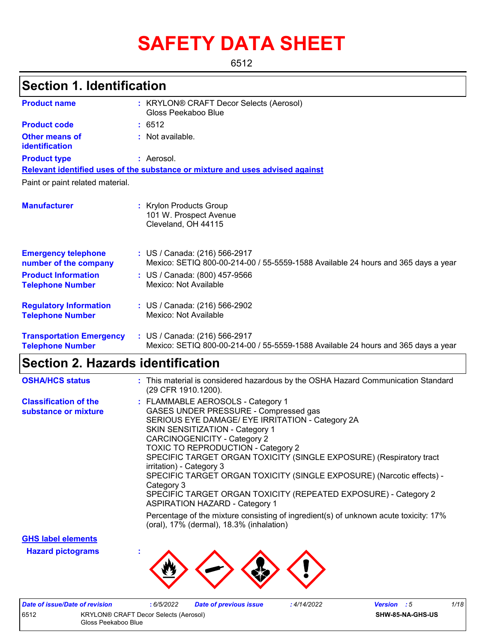# **SAFETY DATA SHEET**

6512

# **Section 1. Identification**

| <b>Product name</b>                                        | : KRYLON® CRAFT Decor Selects (Aerosol)<br>Gloss Peekaboo Blue                                                     |  |  |  |
|------------------------------------------------------------|--------------------------------------------------------------------------------------------------------------------|--|--|--|
| <b>Product code</b>                                        | : 6512                                                                                                             |  |  |  |
| Other means of<br>identification                           | : Not available.                                                                                                   |  |  |  |
| <b>Product type</b>                                        | : Aerosol.                                                                                                         |  |  |  |
|                                                            | Relevant identified uses of the substance or mixture and uses advised against                                      |  |  |  |
| Paint or paint related material.                           |                                                                                                                    |  |  |  |
| <b>Manufacturer</b>                                        | : Krylon Products Group<br>101 W. Prospect Avenue<br>Cleveland, OH 44115                                           |  |  |  |
| <b>Emergency telephone</b><br>number of the company        | : US / Canada: (216) 566-2917<br>Mexico: SETIQ 800-00-214-00 / 55-5559-1588 Available 24 hours and 365 days a year |  |  |  |
| <b>Product Information</b><br><b>Telephone Number</b>      | : US / Canada: (800) 457-9566<br>Mexico: Not Available                                                             |  |  |  |
| <b>Regulatory Information</b><br><b>Telephone Number</b>   | : US / Canada: (216) 566-2902<br>Mexico: Not Available                                                             |  |  |  |
| <b>Transportation Emergency</b><br><b>Telephone Number</b> | : US / Canada: (216) 566-2917<br>Mexico: SETIQ 800-00-214-00 / 55-5559-1588 Available 24 hours and 365 days a year |  |  |  |

### **Section 2. Hazards identification**

| <b>OSHA/HCS status</b>                               | : This material is considered hazardous by the OSHA Hazard Communication Standard<br>(29 CFR 1910.1200).                                                                                                                                                                                                                                                                                                                                                                                                                                                           |
|------------------------------------------------------|--------------------------------------------------------------------------------------------------------------------------------------------------------------------------------------------------------------------------------------------------------------------------------------------------------------------------------------------------------------------------------------------------------------------------------------------------------------------------------------------------------------------------------------------------------------------|
| <b>Classification of the</b><br>substance or mixture | : FLAMMABLE AEROSOLS - Category 1<br>GASES UNDER PRESSURE - Compressed gas<br>SERIOUS EYE DAMAGE/ EYE IRRITATION - Category 2A<br><b>SKIN SENSITIZATION - Category 1</b><br><b>CARCINOGENICITY - Category 2</b><br><b>TOXIC TO REPRODUCTION - Category 2</b><br>SPECIFIC TARGET ORGAN TOXICITY (SINGLE EXPOSURE) (Respiratory tract<br>irritation) - Category 3<br>SPECIFIC TARGET ORGAN TOXICITY (SINGLE EXPOSURE) (Narcotic effects) -<br>Category 3<br>SPECIFIC TARGET ORGAN TOXICITY (REPEATED EXPOSURE) - Category 2<br><b>ASPIRATION HAZARD - Category 1</b> |
|                                                      | Percentage of the mixture consisting of ingredient(s) of unknown acute toxicity: 17%<br>(oral), 17% (dermal), 18.3% (inhalation)                                                                                                                                                                                                                                                                                                                                                                                                                                   |

**GHS label elements**

**Hazard pictograms :**



| Date of issue/Date of revision |                                       | 6/5/2022 | <b>Date of previous issue</b> | 4/14/2022 | <b>Version</b> : 5 |                  | 1/18 |
|--------------------------------|---------------------------------------|----------|-------------------------------|-----------|--------------------|------------------|------|
| 6512                           | KRYLON® CRAFT Decor Selects (Aerosol) |          |                               |           |                    | SHW-85-NA-GHS-US |      |
| Gloss Peekaboo Blue            |                                       |          |                               |           |                    |                  |      |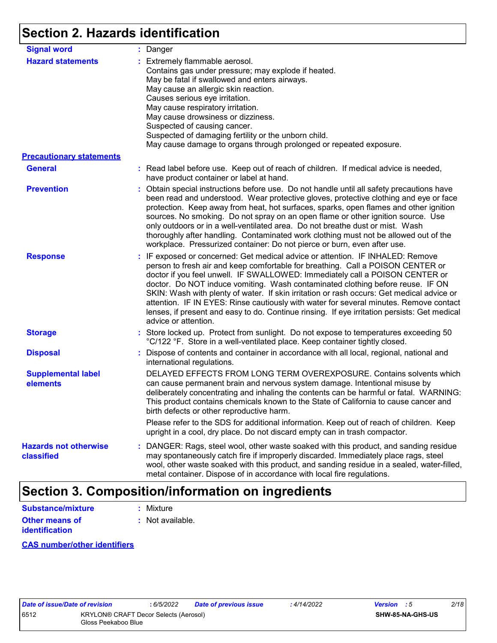# **Section 2. Hazards identification**

| <b>Signal word</b>                                          | : Danger                                                                                                                                                                                                                                                                                                                                                                                                                                                                                                                                                                                                                                           |
|-------------------------------------------------------------|----------------------------------------------------------------------------------------------------------------------------------------------------------------------------------------------------------------------------------------------------------------------------------------------------------------------------------------------------------------------------------------------------------------------------------------------------------------------------------------------------------------------------------------------------------------------------------------------------------------------------------------------------|
| <b>Hazard statements</b><br><b>Precautionary statements</b> | : Extremely flammable aerosol.<br>Contains gas under pressure; may explode if heated.<br>May be fatal if swallowed and enters airways.<br>May cause an allergic skin reaction.<br>Causes serious eye irritation.<br>May cause respiratory irritation.<br>May cause drowsiness or dizziness.<br>Suspected of causing cancer.<br>Suspected of damaging fertility or the unborn child.<br>May cause damage to organs through prolonged or repeated exposure.                                                                                                                                                                                          |
| <b>General</b>                                              | : Read label before use. Keep out of reach of children. If medical advice is needed,                                                                                                                                                                                                                                                                                                                                                                                                                                                                                                                                                               |
|                                                             | have product container or label at hand.                                                                                                                                                                                                                                                                                                                                                                                                                                                                                                                                                                                                           |
| <b>Prevention</b>                                           | : Obtain special instructions before use. Do not handle until all safety precautions have<br>been read and understood. Wear protective gloves, protective clothing and eye or face<br>protection. Keep away from heat, hot surfaces, sparks, open flames and other ignition<br>sources. No smoking. Do not spray on an open flame or other ignition source. Use<br>only outdoors or in a well-ventilated area. Do not breathe dust or mist. Wash<br>thoroughly after handling. Contaminated work clothing must not be allowed out of the<br>workplace. Pressurized container: Do not pierce or burn, even after use.                               |
| <b>Response</b>                                             | : IF exposed or concerned: Get medical advice or attention. IF INHALED: Remove<br>person to fresh air and keep comfortable for breathing. Call a POISON CENTER or<br>doctor if you feel unwell. IF SWALLOWED: Immediately call a POISON CENTER or<br>doctor. Do NOT induce vomiting. Wash contaminated clothing before reuse. IF ON<br>SKIN: Wash with plenty of water. If skin irritation or rash occurs: Get medical advice or<br>attention. IF IN EYES: Rinse cautiously with water for several minutes. Remove contact<br>lenses, if present and easy to do. Continue rinsing. If eye irritation persists: Get medical<br>advice or attention. |
| <b>Storage</b>                                              | : Store locked up. Protect from sunlight. Do not expose to temperatures exceeding 50<br>°C/122 °F. Store in a well-ventilated place. Keep container tightly closed.                                                                                                                                                                                                                                                                                                                                                                                                                                                                                |
| <b>Disposal</b>                                             | : Dispose of contents and container in accordance with all local, regional, national and<br>international regulations.                                                                                                                                                                                                                                                                                                                                                                                                                                                                                                                             |
| <b>Supplemental label</b><br>elements                       | DELAYED EFFECTS FROM LONG TERM OVEREXPOSURE. Contains solvents which<br>can cause permanent brain and nervous system damage. Intentional misuse by<br>deliberately concentrating and inhaling the contents can be harmful or fatal. WARNING:<br>This product contains chemicals known to the State of California to cause cancer and<br>birth defects or other reproductive harm.                                                                                                                                                                                                                                                                  |
|                                                             | Please refer to the SDS for additional information. Keep out of reach of children. Keep<br>upright in a cool, dry place. Do not discard empty can in trash compactor.                                                                                                                                                                                                                                                                                                                                                                                                                                                                              |
| <b>Hazards not otherwise</b><br>classified                  | : DANGER: Rags, steel wool, other waste soaked with this product, and sanding residue<br>may spontaneously catch fire if improperly discarded. Immediately place rags, steel<br>wool, other waste soaked with this product, and sanding residue in a sealed, water-filled,<br>metal container. Dispose of in accordance with local fire regulations.                                                                                                                                                                                                                                                                                               |

# **Section 3. Composition/information on ingredients**

| <b>Substance/mixture</b> | : Mixture        |
|--------------------------|------------------|
| Other means of           | : Not available. |
| <b>identification</b>    |                  |

#### **CAS number/other identifiers**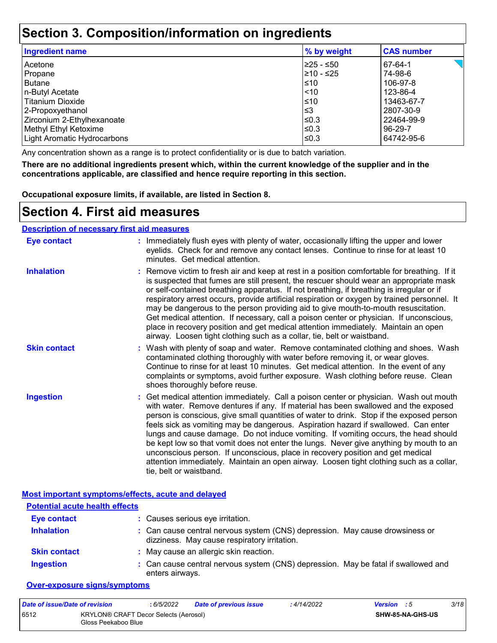### **Section 3. Composition/information on ingredients**

| <b>Ingredient name</b>      | % by weight | <b>CAS number</b> |
|-----------------------------|-------------|-------------------|
| Acetone                     | 225 - ≤50   | 67-64-1           |
| Propane                     | l≥10 - ≤25  | 74-98-6           |
| <b>Butane</b>               | l≤10        | 106-97-8          |
| n-Butyl Acetate             | $\leq 10$   | 123-86-4          |
| Titanium Dioxide            | $\leq 10$   | 13463-67-7        |
| 2-Propoxyethanol            | l≤3         | 2807-30-9         |
| Zirconium 2-Ethylhexanoate  | ≤0.3        | 22464-99-9        |
| Methyl Ethyl Ketoxime       | l≤0.3       | 96-29-7           |
| Light Aromatic Hydrocarbons | l≤0.3       | 64742-95-6        |
|                             |             |                   |

Any concentration shown as a range is to protect confidentiality or is due to batch variation.

**There are no additional ingredients present which, within the current knowledge of the supplier and in the concentrations applicable, are classified and hence require reporting in this section.**

**Occupational exposure limits, if available, are listed in Section 8.**

### **Section 4. First aid measures**

#### **Description of necessary first aid measures**

| <b>Eye contact</b>  | : Immediately flush eyes with plenty of water, occasionally lifting the upper and lower<br>eyelids. Check for and remove any contact lenses. Continue to rinse for at least 10<br>minutes. Get medical attention.                                                                                                                                                                                                                                                                                                                                                                                                                                                                                                                                       |
|---------------------|---------------------------------------------------------------------------------------------------------------------------------------------------------------------------------------------------------------------------------------------------------------------------------------------------------------------------------------------------------------------------------------------------------------------------------------------------------------------------------------------------------------------------------------------------------------------------------------------------------------------------------------------------------------------------------------------------------------------------------------------------------|
| <b>Inhalation</b>   | : Remove victim to fresh air and keep at rest in a position comfortable for breathing. If it<br>is suspected that fumes are still present, the rescuer should wear an appropriate mask<br>or self-contained breathing apparatus. If not breathing, if breathing is irregular or if<br>respiratory arrest occurs, provide artificial respiration or oxygen by trained personnel. It<br>may be dangerous to the person providing aid to give mouth-to-mouth resuscitation.<br>Get medical attention. If necessary, call a poison center or physician. If unconscious,<br>place in recovery position and get medical attention immediately. Maintain an open<br>airway. Loosen tight clothing such as a collar, tie, belt or waistband.                    |
| <b>Skin contact</b> | : Wash with plenty of soap and water. Remove contaminated clothing and shoes. Wash<br>contaminated clothing thoroughly with water before removing it, or wear gloves.<br>Continue to rinse for at least 10 minutes. Get medical attention. In the event of any<br>complaints or symptoms, avoid further exposure. Wash clothing before reuse. Clean<br>shoes thoroughly before reuse.                                                                                                                                                                                                                                                                                                                                                                   |
| <b>Ingestion</b>    | : Get medical attention immediately. Call a poison center or physician. Wash out mouth<br>with water. Remove dentures if any. If material has been swallowed and the exposed<br>person is conscious, give small quantities of water to drink. Stop if the exposed person<br>feels sick as vomiting may be dangerous. Aspiration hazard if swallowed. Can enter<br>lungs and cause damage. Do not induce vomiting. If vomiting occurs, the head should<br>be kept low so that vomit does not enter the lungs. Never give anything by mouth to an<br>unconscious person. If unconscious, place in recovery position and get medical<br>attention immediately. Maintain an open airway. Loosen tight clothing such as a collar,<br>tie, belt or waistband. |

**Most important symptoms/effects, acute and delayed**

| <b>Potential acute health effects</b> |                                                                                                                              |
|---------------------------------------|------------------------------------------------------------------------------------------------------------------------------|
| <b>Eye contact</b>                    | : Causes serious eye irritation.                                                                                             |
| <b>Inhalation</b>                     | : Can cause central nervous system (CNS) depression. May cause drowsiness or<br>dizziness. May cause respiratory irritation. |
| <b>Skin contact</b>                   | : May cause an allergic skin reaction.                                                                                       |
| <b>Ingestion</b>                      | : Can cause central nervous system (CNS) depression. May be fatal if swallowed and<br>enters airways.                        |

#### **Over-exposure signs/symptoms**

| Date of issue/Date of revision |                                                              | : 6/5/2022 | Date of previous issue | : 4/14/2022 | <b>Version</b> : 5 |                         | 3/18 |
|--------------------------------|--------------------------------------------------------------|------------|------------------------|-------------|--------------------|-------------------------|------|
| 6512                           | KRYLON® CRAFT Decor Selects (Aerosol)<br>Gloss Peekaboo Blue |            |                        |             |                    | <b>SHW-85-NA-GHS-US</b> |      |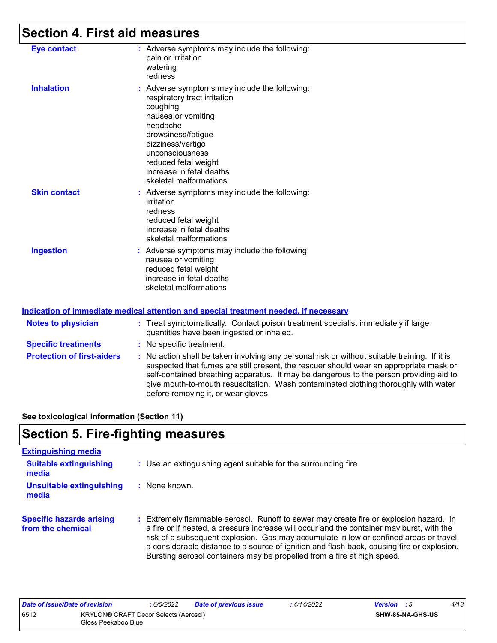# **Section 4. First aid measures**

| <b>Eye contact</b>  | : Adverse symptoms may include the following:<br>pain or irritation<br>watering<br>redness                                                                                                                                                                              |
|---------------------|-------------------------------------------------------------------------------------------------------------------------------------------------------------------------------------------------------------------------------------------------------------------------|
| <b>Inhalation</b>   | : Adverse symptoms may include the following:<br>respiratory tract irritation<br>coughing<br>nausea or vomiting<br>headache<br>drowsiness/fatigue<br>dizziness/vertigo<br>unconsciousness<br>reduced fetal weight<br>increase in fetal deaths<br>skeletal malformations |
| <b>Skin contact</b> | : Adverse symptoms may include the following:<br>irritation<br>redness<br>reduced fetal weight<br>increase in fetal deaths<br>skeletal malformations                                                                                                                    |
| <b>Ingestion</b>    | : Adverse symptoms may include the following:<br>nausea or vomiting<br>reduced fetal weight<br>increase in fetal deaths<br>skeletal malformations                                                                                                                       |

#### **Indication of immediate medical attention and special treatment needed, if necessary**

| <b>Notes to physician</b>         | : Treat symptomatically. Contact poison treatment specialist immediately if large<br>quantities have been ingested or inhaled.                                                                                                                                                                                                                                                                                  |  |  |  |
|-----------------------------------|-----------------------------------------------------------------------------------------------------------------------------------------------------------------------------------------------------------------------------------------------------------------------------------------------------------------------------------------------------------------------------------------------------------------|--|--|--|
| <b>Specific treatments</b>        | : No specific treatment.                                                                                                                                                                                                                                                                                                                                                                                        |  |  |  |
| <b>Protection of first-aiders</b> | : No action shall be taken involving any personal risk or without suitable training. If it is<br>suspected that fumes are still present, the rescuer should wear an appropriate mask or<br>self-contained breathing apparatus. It may be dangerous to the person providing aid to<br>give mouth-to-mouth resuscitation. Wash contaminated clothing thoroughly with water<br>before removing it, or wear gloves. |  |  |  |

**See toxicological information (Section 11)**

## **Section 5. Fire-fighting measures**

| <b>Extinguishing media</b>                           |                                                                                                                                                                                                                                                                                                                                                                            |
|------------------------------------------------------|----------------------------------------------------------------------------------------------------------------------------------------------------------------------------------------------------------------------------------------------------------------------------------------------------------------------------------------------------------------------------|
| <b>Suitable extinguishing</b><br>media               | : Use an extinguishing agent suitable for the surrounding fire.                                                                                                                                                                                                                                                                                                            |
| <b>Unsuitable extinguishing</b><br>media             | : None known.                                                                                                                                                                                                                                                                                                                                                              |
| <b>Specific hazards arising</b><br>from the chemical | : Extremely flammable aerosol. Runoff to sewer may create fire or explosion hazard. In<br>a fire or if heated, a pressure increase will occur and the container may burst, with the<br>risk of a subsequent explosion. Gas may accumulate in low or confined areas or travel<br>a considerable distance to a source of ignition and flash back, causing fire or explosion. |

Bursting aerosol containers may be propelled from a fire at high speed.

| Date of issue/Date of revision |                                                              | 6/5/2022 | <b>Date of previous issue</b> | : 4/14/2022 | <b>Version</b> : 5 |                  | 4/18 |
|--------------------------------|--------------------------------------------------------------|----------|-------------------------------|-------------|--------------------|------------------|------|
| 6512                           | KRYLON® CRAFT Decor Selects (Aerosol)<br>Gloss Peekaboo Blue |          |                               |             |                    | SHW-85-NA-GHS-US |      |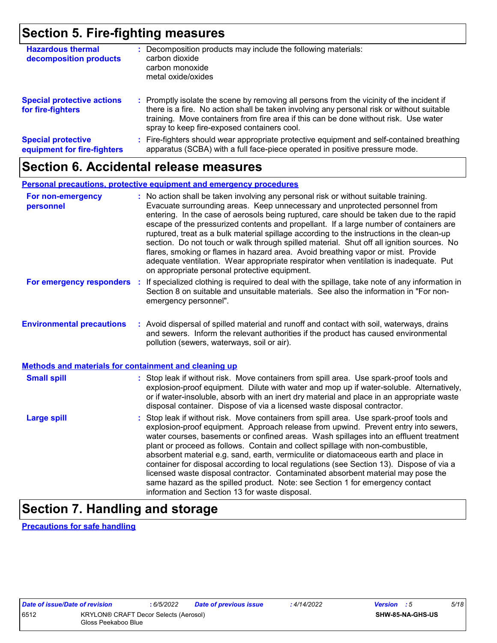## **Section 5. Fire-fighting measures**

| <b>Hazardous thermal</b><br>decomposition products       | : Decomposition products may include the following materials:<br>carbon dioxide<br>carbon monoxide<br>metal oxide/oxides                                                                                                                                                                                                      |
|----------------------------------------------------------|-------------------------------------------------------------------------------------------------------------------------------------------------------------------------------------------------------------------------------------------------------------------------------------------------------------------------------|
| <b>Special protective actions</b><br>for fire-fighters   | : Promptly isolate the scene by removing all persons from the vicinity of the incident if<br>there is a fire. No action shall be taken involving any personal risk or without suitable<br>training. Move containers from fire area if this can be done without risk. Use water<br>spray to keep fire-exposed containers cool. |
| <b>Special protective</b><br>equipment for fire-fighters | : Fire-fighters should wear appropriate protective equipment and self-contained breathing<br>apparatus (SCBA) with a full face-piece operated in positive pressure mode.                                                                                                                                                      |

### **Section 6. Accidental release measures**

#### **Personal precautions, protective equipment and emergency procedures**

| For non-emergency<br>personnel                               | : No action shall be taken involving any personal risk or without suitable training.<br>Evacuate surrounding areas. Keep unnecessary and unprotected personnel from<br>entering. In the case of aerosols being ruptured, care should be taken due to the rapid<br>escape of the pressurized contents and propellant. If a large number of containers are<br>ruptured, treat as a bulk material spillage according to the instructions in the clean-up<br>section. Do not touch or walk through spilled material. Shut off all ignition sources. No<br>flares, smoking or flames in hazard area. Avoid breathing vapor or mist. Provide<br>adequate ventilation. Wear appropriate respirator when ventilation is inadequate. Put<br>on appropriate personal protective equipment. |
|--------------------------------------------------------------|----------------------------------------------------------------------------------------------------------------------------------------------------------------------------------------------------------------------------------------------------------------------------------------------------------------------------------------------------------------------------------------------------------------------------------------------------------------------------------------------------------------------------------------------------------------------------------------------------------------------------------------------------------------------------------------------------------------------------------------------------------------------------------|
| For emergency responders                                     | : If specialized clothing is required to deal with the spillage, take note of any information in<br>Section 8 on suitable and unsuitable materials. See also the information in "For non-<br>emergency personnel".                                                                                                                                                                                                                                                                                                                                                                                                                                                                                                                                                               |
| <b>Environmental precautions</b>                             | : Avoid dispersal of spilled material and runoff and contact with soil, waterways, drains<br>and sewers. Inform the relevant authorities if the product has caused environmental<br>pollution (sewers, waterways, soil or air).                                                                                                                                                                                                                                                                                                                                                                                                                                                                                                                                                  |
| <b>Methods and materials for containment and cleaning up</b> |                                                                                                                                                                                                                                                                                                                                                                                                                                                                                                                                                                                                                                                                                                                                                                                  |
| <b>Small spill</b>                                           | : Stop leak if without risk. Move containers from spill area. Use spark-proof tools and<br>explosion-proof equipment. Dilute with water and mop up if water-soluble. Alternatively,<br>or if water-insoluble, absorb with an inert dry material and place in an appropriate waste<br>disposal container. Dispose of via a licensed waste disposal contractor.                                                                                                                                                                                                                                                                                                                                                                                                                    |
| <b>Large spill</b>                                           | : Stop leak if without risk. Move containers from spill area. Use spark-proof tools and<br>explosion-proof equipment. Approach release from upwind. Prevent entry into sewers,<br>water courses, basements or confined areas. Wash spillages into an effluent treatment<br>plant or proceed as follows. Contain and collect spillage with non-combustible,<br>absorbent material e.g. sand, earth, vermiculite or diatomaceous earth and place in<br>container for disposal according to local regulations (see Section 13). Dispose of via a<br>licensed waste disposal contractor. Contaminated absorbent material may pose the<br>same hazard as the spilled product. Note: see Section 1 for emergency contact<br>information and Section 13 for waste disposal.             |

# **Section 7. Handling and storage**

**Precautions for safe handling**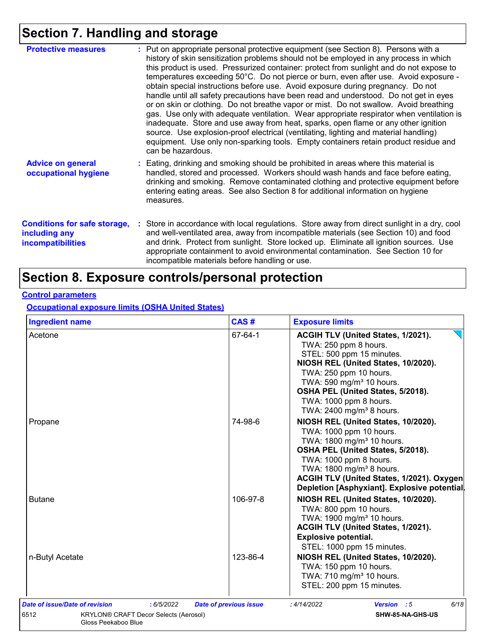# **Section 7. Handling and storage**

| <b>Protective measures</b>                                                | : Put on appropriate personal protective equipment (see Section 8). Persons with a<br>history of skin sensitization problems should not be employed in any process in which<br>this product is used. Pressurized container: protect from sunlight and do not expose to<br>temperatures exceeding 50°C. Do not pierce or burn, even after use. Avoid exposure -<br>obtain special instructions before use. Avoid exposure during pregnancy. Do not<br>handle until all safety precautions have been read and understood. Do not get in eyes<br>or on skin or clothing. Do not breathe vapor or mist. Do not swallow. Avoid breathing<br>gas. Use only with adequate ventilation. Wear appropriate respirator when ventilation is<br>inadequate. Store and use away from heat, sparks, open flame or any other ignition<br>source. Use explosion-proof electrical (ventilating, lighting and material handling)<br>equipment. Use only non-sparking tools. Empty containers retain product residue and<br>can be hazardous. |
|---------------------------------------------------------------------------|---------------------------------------------------------------------------------------------------------------------------------------------------------------------------------------------------------------------------------------------------------------------------------------------------------------------------------------------------------------------------------------------------------------------------------------------------------------------------------------------------------------------------------------------------------------------------------------------------------------------------------------------------------------------------------------------------------------------------------------------------------------------------------------------------------------------------------------------------------------------------------------------------------------------------------------------------------------------------------------------------------------------------|
| <b>Advice on general</b><br>occupational hygiene                          | : Eating, drinking and smoking should be prohibited in areas where this material is<br>handled, stored and processed. Workers should wash hands and face before eating,<br>drinking and smoking. Remove contaminated clothing and protective equipment before<br>entering eating areas. See also Section 8 for additional information on hygiene<br>measures.                                                                                                                                                                                                                                                                                                                                                                                                                                                                                                                                                                                                                                                             |
| <b>Conditions for safe storage,</b><br>including any<br>incompatibilities | Store in accordance with local regulations. Store away from direct sunlight in a dry, cool<br>and well-ventilated area, away from incompatible materials (see Section 10) and food<br>and drink. Protect from sunlight. Store locked up. Eliminate all ignition sources. Use<br>appropriate containment to avoid environmental contamination. See Section 10 for<br>incompatible materials before handling or use.                                                                                                                                                                                                                                                                                                                                                                                                                                                                                                                                                                                                        |

## **Section 8. Exposure controls/personal protection**

#### **Control parameters**

**Occupational exposure limits (OSHA United States)**

| <b>Ingredient name</b>                                                                                                      | CAS#                          | <b>Exposure limits</b>                                                                                                                                                                                                                                                                                     |
|-----------------------------------------------------------------------------------------------------------------------------|-------------------------------|------------------------------------------------------------------------------------------------------------------------------------------------------------------------------------------------------------------------------------------------------------------------------------------------------------|
| Acetone                                                                                                                     | 67-64-1                       | ACGIH TLV (United States, 1/2021).<br>TWA: 250 ppm 8 hours.<br>STEL: 500 ppm 15 minutes.<br>NIOSH REL (United States, 10/2020).<br>TWA: 250 ppm 10 hours.<br>TWA: 590 mg/m <sup>3</sup> 10 hours.<br>OSHA PEL (United States, 5/2018).<br>TWA: 1000 ppm 8 hours.<br>TWA: 2400 mg/m <sup>3</sup> 8 hours.   |
| Propane                                                                                                                     | 74-98-6                       | NIOSH REL (United States, 10/2020).<br>TWA: 1000 ppm 10 hours.<br>TWA: 1800 mg/m <sup>3</sup> 10 hours.<br>OSHA PEL (United States, 5/2018).<br>TWA: 1000 ppm 8 hours.<br>TWA: 1800 mg/m <sup>3</sup> 8 hours.<br>ACGIH TLV (United States, 1/2021). Oxygen<br>Depletion [Asphyxiant]. Explosive potential |
| <b>Butane</b>                                                                                                               | 106-97-8                      | NIOSH REL (United States, 10/2020).<br>TWA: 800 ppm 10 hours.<br>TWA: 1900 mg/m <sup>3</sup> 10 hours.<br>ACGIH TLV (United States, 1/2021).<br><b>Explosive potential.</b><br>STEL: 1000 ppm 15 minutes.                                                                                                  |
| n-Butyl Acetate                                                                                                             | 123-86-4                      | NIOSH REL (United States, 10/2020).<br>TWA: 150 ppm 10 hours.<br>TWA: 710 mg/m <sup>3</sup> 10 hours.<br>STEL: 200 ppm 15 minutes.                                                                                                                                                                         |
| Date of issue/Date of revision<br>: 6/5/2022<br>6512<br><b>KRYLON® CRAFT Decor Selects (Aerosol)</b><br>Gloss Peekaboo Blue | <b>Date of previous issue</b> | 6/18<br>: 4/14/2022<br>Version : 5<br>SHW-85-NA-GHS-US                                                                                                                                                                                                                                                     |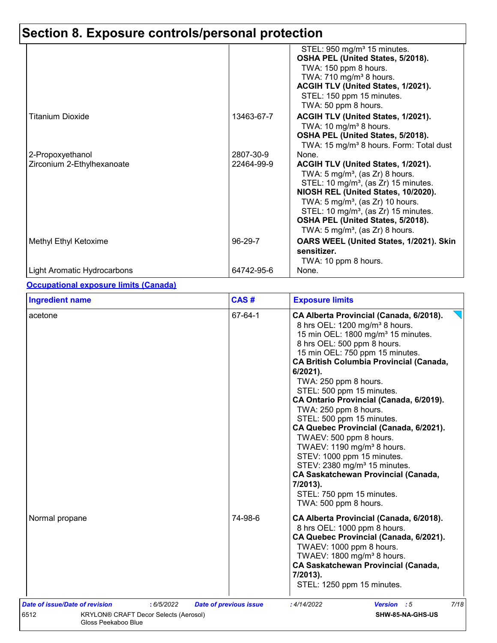|                                                |                         | STEL: 950 mg/m <sup>3</sup> 15 minutes.<br>OSHA PEL (United States, 5/2018).<br>TWA: 150 ppm 8 hours.<br>TWA: $710$ mg/m <sup>3</sup> 8 hours.<br>ACGIH TLV (United States, 1/2021).<br>STEL: 150 ppm 15 minutes.                                                                                                                                                           |
|------------------------------------------------|-------------------------|-----------------------------------------------------------------------------------------------------------------------------------------------------------------------------------------------------------------------------------------------------------------------------------------------------------------------------------------------------------------------------|
| <b>Titanium Dioxide</b>                        | 13463-67-7              | TWA: 50 ppm 8 hours.<br>ACGIH TLV (United States, 1/2021).<br>TWA: 10 mg/m <sup>3</sup> 8 hours.<br>OSHA PEL (United States, 5/2018).<br>TWA: 15 mg/m <sup>3</sup> 8 hours. Form: Total dust                                                                                                                                                                                |
| 2-Propoxyethanol<br>Zirconium 2-Ethylhexanoate | 2807-30-9<br>22464-99-9 | None.<br>ACGIH TLV (United States, 1/2021).<br>TWA: $5 \text{ mg/m}^3$ , (as Zr) 8 hours.<br>STEL: 10 mg/m <sup>3</sup> , (as Zr) 15 minutes.<br>NIOSH REL (United States, 10/2020).<br>TWA: $5 \text{ mg/m}^3$ , (as Zr) 10 hours.<br>STEL: 10 mg/m <sup>3</sup> , (as Zr) 15 minutes.<br>OSHA PEL (United States, 5/2018).<br>TWA: 5 mg/m <sup>3</sup> , (as Zr) 8 hours. |
| Methyl Ethyl Ketoxime                          | 96-29-7                 | OARS WEEL (United States, 1/2021). Skin<br>sensitizer.<br>TWA: 10 ppm 8 hours.                                                                                                                                                                                                                                                                                              |
| Light Aromatic Hydrocarbons                    | 64742-95-6              | None.                                                                                                                                                                                                                                                                                                                                                                       |

#### **Occupational exposure limits (Canada)**

| <b>Ingredient name</b>                       | CAS#                          | <b>Exposure limits</b>                                                                                                                                                                                                                                                                                                                                                                                                                                                                                                                                                                                                                                                                                                                  |  |  |
|----------------------------------------------|-------------------------------|-----------------------------------------------------------------------------------------------------------------------------------------------------------------------------------------------------------------------------------------------------------------------------------------------------------------------------------------------------------------------------------------------------------------------------------------------------------------------------------------------------------------------------------------------------------------------------------------------------------------------------------------------------------------------------------------------------------------------------------------|--|--|
| acetone                                      | 67-64-1                       | CA Alberta Provincial (Canada, 6/2018).<br>8 hrs OEL: 1200 mg/m <sup>3</sup> 8 hours.<br>15 min OEL: 1800 mg/m <sup>3</sup> 15 minutes.<br>8 hrs OEL: 500 ppm 8 hours.<br>15 min OEL: 750 ppm 15 minutes.<br><b>CA British Columbia Provincial (Canada,</b><br>6/2021).<br>TWA: 250 ppm 8 hours.<br>STEL: 500 ppm 15 minutes.<br>CA Ontario Provincial (Canada, 6/2019).<br>TWA: 250 ppm 8 hours.<br>STEL: 500 ppm 15 minutes.<br>CA Quebec Provincial (Canada, 6/2021).<br>TWAEV: 500 ppm 8 hours.<br>TWAEV: 1190 mg/m <sup>3</sup> 8 hours.<br>STEV: 1000 ppm 15 minutes.<br>STEV: 2380 mg/m <sup>3</sup> 15 minutes.<br><b>CA Saskatchewan Provincial (Canada,</b><br>7/2013).<br>STEL: 750 ppm 15 minutes.<br>TWA: 500 ppm 8 hours. |  |  |
| Normal propane                               | 74-98-6                       | CA Alberta Provincial (Canada, 6/2018).<br>8 hrs OEL: 1000 ppm 8 hours.<br>CA Quebec Provincial (Canada, 6/2021).<br>TWAEV: 1000 ppm 8 hours.<br>TWAEV: 1800 mg/m <sup>3</sup> 8 hours.<br><b>CA Saskatchewan Provincial (Canada,</b><br>7/2013).<br>STEL: 1250 ppm 15 minutes.                                                                                                                                                                                                                                                                                                                                                                                                                                                         |  |  |
| Date of issue/Date of revision<br>: 6/5/2022 | <b>Date of previous issue</b> | 7/18<br>Version : 5<br>:4/14/2022                                                                                                                                                                                                                                                                                                                                                                                                                                                                                                                                                                                                                                                                                                       |  |  |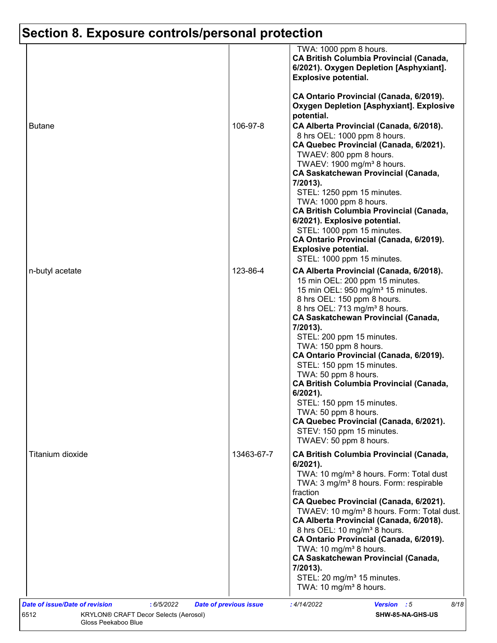|                  |            | TWA: 1000 ppm 8 hours.<br><b>CA British Columbia Provincial (Canada,</b><br>6/2021). Oxygen Depletion [Asphyxiant].<br><b>Explosive potential.</b>                                                                                                                                                                                                                                                                                                                                                                                                                                                                                             |
|------------------|------------|------------------------------------------------------------------------------------------------------------------------------------------------------------------------------------------------------------------------------------------------------------------------------------------------------------------------------------------------------------------------------------------------------------------------------------------------------------------------------------------------------------------------------------------------------------------------------------------------------------------------------------------------|
| <b>Butane</b>    | 106-97-8   | CA Ontario Provincial (Canada, 6/2019).<br><b>Oxygen Depletion [Asphyxiant]. Explosive</b><br>potential.<br>CA Alberta Provincial (Canada, 6/2018).<br>8 hrs OEL: 1000 ppm 8 hours.<br>CA Quebec Provincial (Canada, 6/2021).<br>TWAEV: 800 ppm 8 hours.<br>TWAEV: 1900 mg/m <sup>3</sup> 8 hours.<br><b>CA Saskatchewan Provincial (Canada,</b><br>7/2013).<br>STEL: 1250 ppm 15 minutes.<br>TWA: 1000 ppm 8 hours.                                                                                                                                                                                                                           |
|                  |            | <b>CA British Columbia Provincial (Canada,</b><br>6/2021). Explosive potential.<br>STEL: 1000 ppm 15 minutes.<br>CA Ontario Provincial (Canada, 6/2019).<br><b>Explosive potential.</b><br>STEL: 1000 ppm 15 minutes.                                                                                                                                                                                                                                                                                                                                                                                                                          |
| n-butyl acetate  | 123-86-4   | CA Alberta Provincial (Canada, 6/2018).<br>15 min OEL: 200 ppm 15 minutes.<br>15 min OEL: 950 mg/m <sup>3</sup> 15 minutes.<br>8 hrs OEL: 150 ppm 8 hours.<br>8 hrs OEL: 713 mg/m <sup>3</sup> 8 hours.<br><b>CA Saskatchewan Provincial (Canada,</b><br>7/2013).<br>STEL: 200 ppm 15 minutes.<br>TWA: 150 ppm 8 hours.<br>CA Ontario Provincial (Canada, 6/2019).<br>STEL: 150 ppm 15 minutes.<br>TWA: 50 ppm 8 hours.<br><b>CA British Columbia Provincial (Canada,</b><br>$6/2021$ ).<br>STEL: 150 ppm 15 minutes.<br>TWA: 50 ppm 8 hours.<br>CA Quebec Provincial (Canada, 6/2021).<br>STEV: 150 ppm 15 minutes.<br>TWAEV: 50 ppm 8 hours. |
| Titanium dioxide | 13463-67-7 | <b>CA British Columbia Provincial (Canada,</b><br>6/2021).<br>TWA: 10 mg/m <sup>3</sup> 8 hours. Form: Total dust<br>TWA: 3 mg/m <sup>3</sup> 8 hours. Form: respirable<br>fraction<br>CA Quebec Provincial (Canada, 6/2021).<br>TWAEV: 10 mg/m <sup>3</sup> 8 hours. Form: Total dust.<br>CA Alberta Provincial (Canada, 6/2018).<br>8 hrs OEL: 10 mg/m <sup>3</sup> 8 hours.<br>CA Ontario Provincial (Canada, 6/2019).<br>TWA: 10 mg/m <sup>3</sup> 8 hours.<br><b>CA Saskatchewan Provincial (Canada,</b><br>7/2013).<br>STEL: 20 mg/m <sup>3</sup> 15 minutes.<br>TWA: 10 mg/m <sup>3</sup> 8 hours.                                      |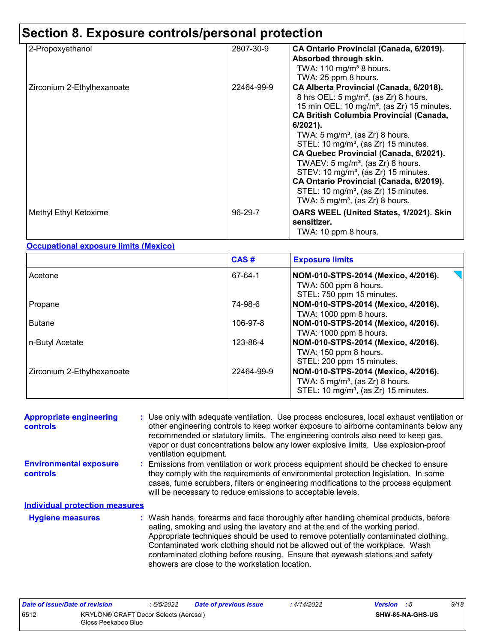| 2-Propoxyethanol           | 2807-30-9  | CA Ontario Provincial (Canada, 6/2019).<br>Absorbed through skin.<br>TWA: $110 \text{ mg/m}^3$ 8 hours.<br>TWA: 25 ppm 8 hours.                                                                                                                                                                                                                                                                                                                                                                                                                                                                                          |
|----------------------------|------------|--------------------------------------------------------------------------------------------------------------------------------------------------------------------------------------------------------------------------------------------------------------------------------------------------------------------------------------------------------------------------------------------------------------------------------------------------------------------------------------------------------------------------------------------------------------------------------------------------------------------------|
| Zirconium 2-Ethylhexanoate | 22464-99-9 | CA Alberta Provincial (Canada, 6/2018).<br>8 hrs OEL: $5 \text{ mg/m}^3$ , (as Zr) 8 hours.<br>15 min OEL: 10 mg/m <sup>3</sup> , (as Zr) 15 minutes.<br><b>CA British Columbia Provincial (Canada,</b><br>$6/2021$ ).<br>TWA: 5 mg/m <sup>3</sup> , (as Zr) 8 hours.<br>STEL: 10 mg/m <sup>3</sup> , (as Zr) 15 minutes.<br>CA Quebec Provincial (Canada, 6/2021).<br>TWAEV: $5 \text{ mg/m}^3$ , (as Zr) 8 hours.<br>STEV: 10 mg/m <sup>3</sup> , (as Zr) 15 minutes.<br>CA Ontario Provincial (Canada, 6/2019).<br>STEL: 10 mg/m <sup>3</sup> , (as $Zr$ ) 15 minutes.<br>TWA: 5 mg/m <sup>3</sup> , (as Zr) 8 hours. |
| Methyl Ethyl Ketoxime      | 96-29-7    | OARS WEEL (United States, 1/2021). Skin<br>sensitizer.<br>TWA: 10 ppm 8 hours.                                                                                                                                                                                                                                                                                                                                                                                                                                                                                                                                           |

#### **Occupational exposure limits (Mexico)**

|                            | CAS#       | <b>Exposure limits</b>                                                                                                                |
|----------------------------|------------|---------------------------------------------------------------------------------------------------------------------------------------|
| Acetone                    | 67-64-1    | NOM-010-STPS-2014 (Mexico, 4/2016).<br>TWA: 500 ppm 8 hours.<br>STEL: 750 ppm 15 minutes.                                             |
| Propane                    | 74-98-6    | NOM-010-STPS-2014 (Mexico, 4/2016).<br>TWA: 1000 ppm 8 hours.                                                                         |
| Butane                     | 106-97-8   | NOM-010-STPS-2014 (Mexico, 4/2016).<br>TWA: 1000 ppm 8 hours.                                                                         |
| n-Butyl Acetate            | 123-86-4   | NOM-010-STPS-2014 (Mexico, 4/2016).<br>TWA: 150 ppm 8 hours.<br>STEL: 200 ppm 15 minutes.                                             |
| Zirconium 2-Ethylhexanoate | 22464-99-9 | NOM-010-STPS-2014 (Mexico, 4/2016).<br>TWA: $5 \text{ mg/m}^3$ , (as Zr) 8 hours.<br>STEL: 10 mg/m <sup>3</sup> , (as Zr) 15 minutes. |

| <b>Appropriate engineering</b><br>controls       | : Use only with adequate ventilation. Use process enclosures, local exhaust ventilation or<br>other engineering controls to keep worker exposure to airborne contaminants below any<br>recommended or statutory limits. The engineering controls also need to keep gas,<br>vapor or dust concentrations below any lower explosive limits. Use explosion-proof<br>ventilation equipment.                                                                                     |
|--------------------------------------------------|-----------------------------------------------------------------------------------------------------------------------------------------------------------------------------------------------------------------------------------------------------------------------------------------------------------------------------------------------------------------------------------------------------------------------------------------------------------------------------|
| <b>Environmental exposure</b><br><b>controls</b> | : Emissions from ventilation or work process equipment should be checked to ensure<br>they comply with the requirements of environmental protection legislation. In some<br>cases, fume scrubbers, filters or engineering modifications to the process equipment<br>will be necessary to reduce emissions to acceptable levels.                                                                                                                                             |
| <b>Individual protection measures</b>            |                                                                                                                                                                                                                                                                                                                                                                                                                                                                             |
| <b>Hygiene measures</b>                          | : Wash hands, forearms and face thoroughly after handling chemical products, before<br>eating, smoking and using the lavatory and at the end of the working period.<br>Appropriate techniques should be used to remove potentially contaminated clothing.<br>Contaminated work clothing should not be allowed out of the workplace. Wash<br>contaminated clothing before reusing. Ensure that eyewash stations and safety<br>showers are close to the workstation location. |

| Date of issue/Date of revision |                                                              | : 6/5/2022 | <b>Date of previous issue</b> | 4/14/2022 | <b>Version</b> : 5 | 9/18 |
|--------------------------------|--------------------------------------------------------------|------------|-------------------------------|-----------|--------------------|------|
| 6512                           | KRYLON® CRAFT Decor Selects (Aerosol)<br>Gloss Peekaboo Blue |            |                               |           | SHW-85-NA-GHS-US   |      |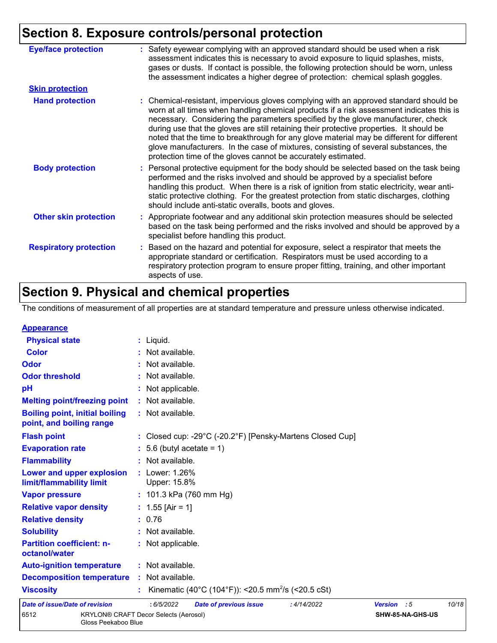| <b>Eye/face protection</b>    | : Safety eyewear complying with an approved standard should be used when a risk<br>assessment indicates this is necessary to avoid exposure to liquid splashes, mists,<br>gases or dusts. If contact is possible, the following protection should be worn, unless<br>the assessment indicates a higher degree of protection: chemical splash goggles.                                                                                                                                                                                                                                                                  |
|-------------------------------|------------------------------------------------------------------------------------------------------------------------------------------------------------------------------------------------------------------------------------------------------------------------------------------------------------------------------------------------------------------------------------------------------------------------------------------------------------------------------------------------------------------------------------------------------------------------------------------------------------------------|
| <b>Skin protection</b>        |                                                                                                                                                                                                                                                                                                                                                                                                                                                                                                                                                                                                                        |
| <b>Hand protection</b>        | : Chemical-resistant, impervious gloves complying with an approved standard should be<br>worn at all times when handling chemical products if a risk assessment indicates this is<br>necessary. Considering the parameters specified by the glove manufacturer, check<br>during use that the gloves are still retaining their protective properties. It should be<br>noted that the time to breakthrough for any glove material may be different for different<br>glove manufacturers. In the case of mixtures, consisting of several substances, the<br>protection time of the gloves cannot be accurately estimated. |
| <b>Body protection</b>        | : Personal protective equipment for the body should be selected based on the task being<br>performed and the risks involved and should be approved by a specialist before<br>handling this product. When there is a risk of ignition from static electricity, wear anti-<br>static protective clothing. For the greatest protection from static discharges, clothing<br>should include anti-static overalls, boots and gloves.                                                                                                                                                                                         |
| <b>Other skin protection</b>  | : Appropriate footwear and any additional skin protection measures should be selected<br>based on the task being performed and the risks involved and should be approved by a<br>specialist before handling this product.                                                                                                                                                                                                                                                                                                                                                                                              |
| <b>Respiratory protection</b> | : Based on the hazard and potential for exposure, select a respirator that meets the<br>appropriate standard or certification. Respirators must be used according to a<br>respiratory protection program to ensure proper fitting, training, and other important<br>aspects of use.                                                                                                                                                                                                                                                                                                                                    |

# **Section 9. Physical and chemical properties**

Gloss Peekaboo Blue

The conditions of measurement of all properties are at standard temperature and pressure unless otherwise indicated.

| <b>Appearance</b>                                                 |                                                                |             |                  |       |
|-------------------------------------------------------------------|----------------------------------------------------------------|-------------|------------------|-------|
| <b>Physical state</b>                                             | $:$ Liquid.                                                    |             |                  |       |
| <b>Color</b>                                                      | : Not available.                                               |             |                  |       |
| Odor                                                              | : Not available.                                               |             |                  |       |
| <b>Odor threshold</b>                                             | : Not available.                                               |             |                  |       |
| pH                                                                | : Not applicable.                                              |             |                  |       |
| <b>Melting point/freezing point</b>                               | : Not available.                                               |             |                  |       |
| <b>Boiling point, initial boiling</b><br>point, and boiling range | : Not available.                                               |             |                  |       |
| <b>Flash point</b>                                                | : Closed cup: -29°C (-20.2°F) [Pensky-Martens Closed Cup]      |             |                  |       |
| <b>Evaporation rate</b>                                           | $: 5.6$ (butyl acetate = 1)                                    |             |                  |       |
| <b>Flammability</b>                                               | : Not available.                                               |             |                  |       |
| Lower and upper explosion<br>limit/flammability limit             | : Lower: 1.26%<br>Upper: 15.8%                                 |             |                  |       |
| <b>Vapor pressure</b>                                             | : 101.3 kPa (760 mm Hg)                                        |             |                  |       |
| <b>Relative vapor density</b>                                     | : $1.55$ [Air = 1]                                             |             |                  |       |
| <b>Relative density</b>                                           | : 0.76                                                         |             |                  |       |
| <b>Solubility</b>                                                 | : Not available.                                               |             |                  |       |
| <b>Partition coefficient: n-</b><br>octanol/water                 | : Not applicable.                                              |             |                  |       |
| <b>Auto-ignition temperature</b>                                  | : Not available.                                               |             |                  |       |
| <b>Decomposition temperature</b>                                  | : Not available.                                               |             |                  |       |
| <b>Viscosity</b>                                                  | Kinematic (40°C (104°F)): <20.5 mm <sup>2</sup> /s (<20.5 cSt) |             |                  |       |
| <b>Date of issue/Date of revision</b>                             | :6/5/2022<br><b>Date of previous issue</b><br>: 4/14/2022      | Version : 5 |                  | 10/18 |
| 6512                                                              | <b>KRYLON® CRAFT Decor Selects (Aerosol)</b>                   |             | SHW-85-NA-GHS-US |       |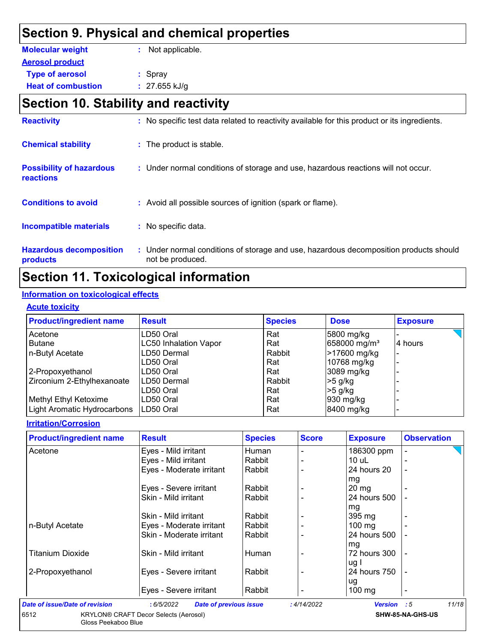## **Section 9. Physical and chemical properties**

| <b>Molecular weight</b>   | : Not applicable. |
|---------------------------|-------------------|
| <b>Aerosol product</b>    |                   |
| <b>Type of aerosol</b>    | $:$ Spray         |
| <b>Heat of combustion</b> | : $27.655$ kJ/g   |

# **Section 10. Stability and reactivity**

| <b>Reactivity</b>                                   | : No specific test data related to reactivity available for this product or its ingredients.              |
|-----------------------------------------------------|-----------------------------------------------------------------------------------------------------------|
| <b>Chemical stability</b>                           | : The product is stable.                                                                                  |
| <b>Possibility of hazardous</b><br><b>reactions</b> | : Under normal conditions of storage and use, hazardous reactions will not occur.                         |
| <b>Conditions to avoid</b>                          | : Avoid all possible sources of ignition (spark or flame).                                                |
| <b>Incompatible materials</b>                       | : No specific data.                                                                                       |
| <b>Hazardous decomposition</b><br>products          | : Under normal conditions of storage and use, hazardous decomposition products should<br>not be produced. |

## **Section 11. Toxicological information**

#### **Information on toxicological effects**

#### **Acute toxicity**

| <b>Product/ingredient name</b> | <b>Result</b>                | <b>Species</b> | <b>Dose</b>              | <b>Exposure</b> |
|--------------------------------|------------------------------|----------------|--------------------------|-----------------|
| Acetone                        | LD50 Oral                    | Rat            | 5800 mg/kg               |                 |
| <b>Butane</b>                  | <b>LC50 Inhalation Vapor</b> | Rat            | 658000 mg/m <sup>3</sup> | 4 hours         |
| n-Butyl Acetate                | LD50 Dermal                  | Rabbit         | >17600 mg/kg             |                 |
|                                | LD50 Oral                    | Rat            | 10768 mg/kg              |                 |
| 2-Propoxyethanol               | LD50 Oral                    | Rat            | 3089 mg/kg               |                 |
| Zirconium 2-Ethylhexanoate     | ILD50 Dermal                 | Rabbit         | $>5$ g/kg                |                 |
|                                | LD50 Oral                    | Rat            | $>5$ g/kg                |                 |
| Methyl Ethyl Ketoxime          | LD50 Oral                    | Rat            | 930 mg/kg                |                 |
| Light Aromatic Hydrocarbons    | LD50 Oral                    | Rat            | 8400 mg/kg               |                 |

#### **Irritation/Corrosion**

| <b>Product/ingredient name</b> | <b>Result</b>            | <b>Species</b> | <b>Score</b> | <b>Exposure</b>  | <b>Observation</b>       |
|--------------------------------|--------------------------|----------------|--------------|------------------|--------------------------|
| Acetone                        | Eyes - Mild irritant     | Human          |              | 186300 ppm       |                          |
|                                | Eyes - Mild irritant     | Rabbit         |              | 10 uL            |                          |
|                                | Eyes - Moderate irritant | Rabbit         |              | 24 hours 20      | $\overline{\phantom{0}}$ |
|                                |                          |                |              | mg               |                          |
|                                | Eyes - Severe irritant   | Rabbit         |              | $20 \, mg$       |                          |
|                                | Skin - Mild irritant     | Rabbit         |              | 24 hours 500     |                          |
|                                |                          |                |              | mg               |                          |
|                                | Skin - Mild irritant     | Rabbit         |              | $395 \text{ mg}$ |                          |
| n-Butyl Acetate                | Eyes - Moderate irritant | Rabbit         |              | $100 \text{ mg}$ |                          |
|                                | Skin - Moderate irritant | Rabbit         |              | 24 hours 500     |                          |
|                                |                          |                |              | mg               |                          |
| <b>Titanium Dioxide</b>        | Skin - Mild irritant     | Human          |              | 72 hours 300     | $\blacksquare$           |
|                                |                          |                |              | ug I             |                          |
| 2-Propoxyethanol               | Eyes - Severe irritant   | Rabbit         |              | 24 hours 750     | $\overline{a}$           |
|                                |                          |                |              | ug               |                          |
|                                | Eyes - Severe irritant   | Rabbit         |              | $100$ mg         | -                        |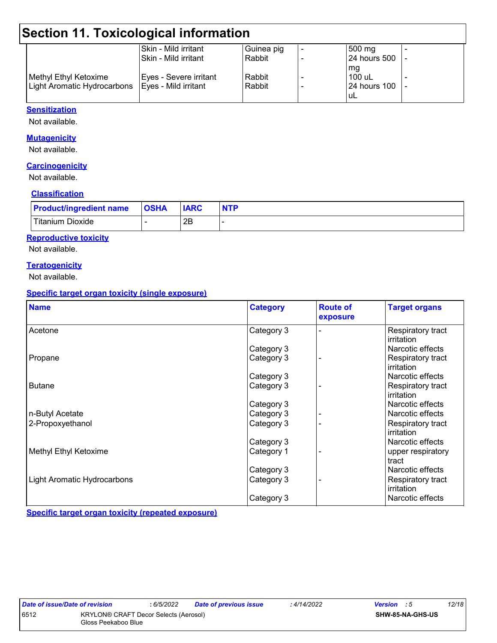# **Section 11. Toxicological information**

| Skin - Mild irritant   | Guinea pig                  | $500 \text{ mg}$    |  |
|------------------------|-----------------------------|---------------------|--|
| l Skin - Mild irritant | Rabbit                      | <b>24 hours 500</b> |  |
|                        |                             | mg                  |  |
| Eyes - Severe irritant | Rabbit                      | $100$ uL            |  |
| Eyes - Mild irritant   | Rabbit                      | <b>24 hours 100</b> |  |
|                        |                             | uL                  |  |
|                        | Light Aromatic Hydrocarbons |                     |  |

#### **Sensitization**

Not available.

#### **Mutagenicity**

Not available.

#### **Carcinogenicity**

Not available.

#### **Classification**

| <b>Product/ingredient name</b> | <b>OSHA</b> | <b>IARC</b> | <b>NTP</b> |
|--------------------------------|-------------|-------------|------------|
| Titanium Dioxide               |             | 2B          |            |

#### **Reproductive toxicity**

Not available.

#### **Teratogenicity**

Not available.

#### **Specific target organ toxicity (single exposure)**

| <b>Name</b>                        | <b>Category</b> | <b>Route of</b><br>exposure | <b>Target organs</b>            |
|------------------------------------|-----------------|-----------------------------|---------------------------------|
| Acetone                            | Category 3      |                             | Respiratory tract<br>irritation |
|                                    | Category 3      |                             | Narcotic effects                |
| Propane                            | Category 3      |                             | Respiratory tract<br>irritation |
|                                    | Category 3      |                             | Narcotic effects                |
| <b>Butane</b>                      | Category 3      |                             | Respiratory tract<br>irritation |
|                                    | Category 3      |                             | Narcotic effects                |
| n-Butyl Acetate                    | Category 3      |                             | Narcotic effects                |
| 2-Propoxyethanol                   | Category 3      |                             | Respiratory tract<br>irritation |
|                                    | Category 3      |                             | Narcotic effects                |
| Methyl Ethyl Ketoxime              | Category 1      |                             | upper respiratory<br>tract      |
|                                    | Category 3      |                             | Narcotic effects                |
| <b>Light Aromatic Hydrocarbons</b> | Category 3      |                             | Respiratory tract<br>irritation |
|                                    | Category 3      |                             | Narcotic effects                |

**Specific target organ toxicity (repeated exposure)**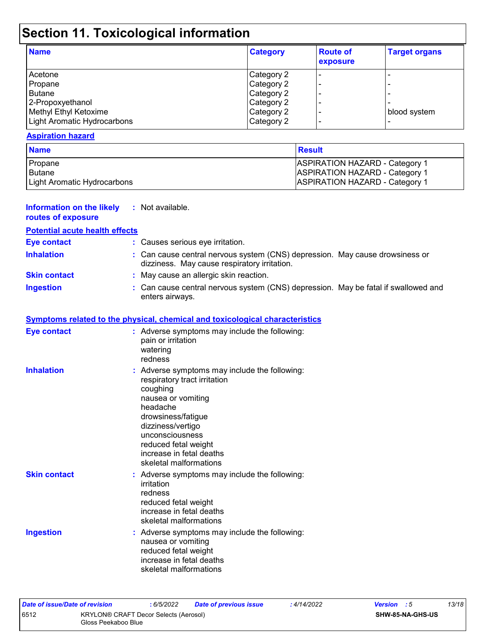# **Section 11. Toxicological information**

| <b>Name</b>                 | <b>Category</b> | <b>Route of</b><br>exposure | <b>Target organs</b> |
|-----------------------------|-----------------|-----------------------------|----------------------|
| Acetone                     | Category 2      | $\blacksquare$              |                      |
| Propane                     | Category 2      |                             |                      |
| Butane                      | Category 2      |                             |                      |
| 2-Propoxyethanol            | Category 2      |                             |                      |
| Methyl Ethyl Ketoxime       | Category 2      |                             | blood system         |
| Light Aromatic Hydrocarbons | Category 2      | $\overline{\phantom{0}}$    |                      |

#### **Aspiration hazard**

| <b>Name</b>                 | <b>Result</b>                                                                  |
|-----------------------------|--------------------------------------------------------------------------------|
| Propane<br><b>Butane</b>    | <b>ASPIRATION HAZARD - Category 1</b><br><b>ASPIRATION HAZARD - Category 1</b> |
| Light Aromatic Hydrocarbons | <b>ASPIRATION HAZARD - Category 1</b>                                          |

| <b>Information on the likely</b><br>routes of exposure | : Not available.                                                                                                                                                                                                                                                        |
|--------------------------------------------------------|-------------------------------------------------------------------------------------------------------------------------------------------------------------------------------------------------------------------------------------------------------------------------|
| <b>Potential acute health effects</b>                  |                                                                                                                                                                                                                                                                         |
| <b>Eye contact</b>                                     | : Causes serious eye irritation.                                                                                                                                                                                                                                        |
| <b>Inhalation</b>                                      | : Can cause central nervous system (CNS) depression. May cause drowsiness or<br>dizziness. May cause respiratory irritation.                                                                                                                                            |
| <b>Skin contact</b>                                    | : May cause an allergic skin reaction.                                                                                                                                                                                                                                  |
| <b>Ingestion</b>                                       | : Can cause central nervous system (CNS) depression. May be fatal if swallowed and<br>enters airways.                                                                                                                                                                   |
|                                                        | <b>Symptoms related to the physical, chemical and toxicological characteristics</b>                                                                                                                                                                                     |
| <b>Eye contact</b>                                     | : Adverse symptoms may include the following:<br>pain or irritation<br>watering<br>redness                                                                                                                                                                              |
| <b>Inhalation</b>                                      | : Adverse symptoms may include the following:<br>respiratory tract irritation<br>coughing<br>nausea or vomiting<br>headache<br>drowsiness/fatigue<br>dizziness/vertigo<br>unconsciousness<br>reduced fetal weight<br>increase in fetal deaths<br>skeletal malformations |
| <b>Skin contact</b>                                    | : Adverse symptoms may include the following:<br>irritation<br>redness<br>reduced fetal weight<br>increase in fetal deaths<br>skeletal malformations                                                                                                                    |
| <b>Ingestion</b>                                       | : Adverse symptoms may include the following:<br>nausea or vomiting<br>reduced fetal weight<br>increase in fetal deaths<br>skeletal malformations                                                                                                                       |

| Date of issue/Date of revision |                                                              | : 6/5/2022 | Date of previous issue | : 4/14/2022 | <b>Version</b> : 5 |                  | 13/18 |
|--------------------------------|--------------------------------------------------------------|------------|------------------------|-------------|--------------------|------------------|-------|
| 6512                           | KRYLON® CRAFT Decor Selects (Aerosol)<br>Gloss Peekaboo Blue |            |                        |             |                    | SHW-85-NA-GHS-US |       |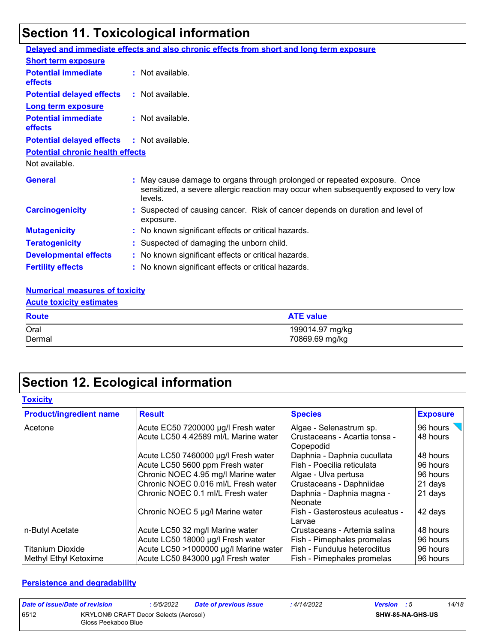# **Section 11. Toxicological information**

|                                              | Delayed and immediate effects and also chronic effects from short and long term exposure                                                                                       |
|----------------------------------------------|--------------------------------------------------------------------------------------------------------------------------------------------------------------------------------|
| <b>Short term exposure</b>                   |                                                                                                                                                                                |
| <b>Potential immediate</b><br>effects        | : Not available.                                                                                                                                                               |
| <b>Potential delayed effects</b>             | : Not available.                                                                                                                                                               |
| <b>Long term exposure</b>                    |                                                                                                                                                                                |
| <b>Potential immediate</b><br><b>effects</b> | : Not available.                                                                                                                                                               |
| <b>Potential delayed effects</b>             | : Not available.                                                                                                                                                               |
| <b>Potential chronic health effects</b>      |                                                                                                                                                                                |
| Not available.                               |                                                                                                                                                                                |
| <b>General</b>                               | : May cause damage to organs through prolonged or repeated exposure. Once<br>sensitized, a severe allergic reaction may occur when subsequently exposed to very low<br>levels. |
| <b>Carcinogenicity</b>                       | : Suspected of causing cancer. Risk of cancer depends on duration and level of<br>exposure.                                                                                    |
| <b>Mutagenicity</b>                          | : No known significant effects or critical hazards.                                                                                                                            |
| <b>Teratogenicity</b>                        | : Suspected of damaging the unborn child.                                                                                                                                      |
| <b>Developmental effects</b>                 | : No known significant effects or critical hazards.                                                                                                                            |
| <b>Fertility effects</b>                     | : No known significant effects or critical hazards.                                                                                                                            |

#### **Numerical measures of toxicity**

#### **Acute toxicity estimates**

| <b>Route</b> | <b>ATE value</b> |
|--------------|------------------|
| Oral         | 199014.97 mg/kg  |
| Dermal       | 70869.69 mg/kg   |

# **Section 12. Ecological information**

#### **Toxicity**

| <b>Product/ingredient name</b> | <b>Result</b>                         | <b>Species</b>                             | <b>Exposure</b> |
|--------------------------------|---------------------------------------|--------------------------------------------|-----------------|
| Acetone                        | Acute EC50 7200000 µg/l Fresh water   | Algae - Selenastrum sp.                    | 96 hours        |
|                                | Acute LC50 4.42589 ml/L Marine water  | Crustaceans - Acartia tonsa -<br>Copepodid | 48 hours        |
|                                | Acute LC50 7460000 µg/l Fresh water   | Daphnia - Daphnia cucullata                | 48 hours        |
|                                | Acute LC50 5600 ppm Fresh water       | Fish - Poecilia reticulata                 | 96 hours        |
|                                | Chronic NOEC 4.95 mg/l Marine water   | Algae - Ulva pertusa                       | 96 hours        |
|                                | Chronic NOEC 0.016 ml/L Fresh water   | Crustaceans - Daphniidae                   | 21 days         |
|                                | Chronic NOEC 0.1 ml/L Fresh water     | Daphnia - Daphnia magna -<br>Neonate       | 21 days         |
|                                | Chronic NOEC 5 µg/l Marine water      | Fish - Gasterosteus aculeatus -<br>Larvae  | 42 days         |
| n-Butyl Acetate                | Acute LC50 32 mg/l Marine water       | Crustaceans - Artemia salina               | 48 hours        |
|                                | Acute LC50 18000 µg/l Fresh water     | Fish - Pimephales promelas                 | 96 hours        |
| <b>Titanium Dioxide</b>        | Acute LC50 >1000000 µg/l Marine water | l Fish - Fundulus heteroclitus             | 96 hours        |
| Methyl Ethyl Ketoxime          | Acute LC50 843000 µg/l Fresh water    | Fish - Pimephales promelas                 | 96 hours        |

#### **Persistence and degradability**

| Date of issue/Date of revision |                                                              | : 6/5/2022 | <b>Date of previous issue</b> | : 4/14/2022 | <b>Version</b> : 5 |                         | 14/18 |
|--------------------------------|--------------------------------------------------------------|------------|-------------------------------|-------------|--------------------|-------------------------|-------|
| 6512                           | KRYLON® CRAFT Decor Selects (Aerosol)<br>Gloss Peekaboo Blue |            |                               |             |                    | <b>SHW-85-NA-GHS-US</b> |       |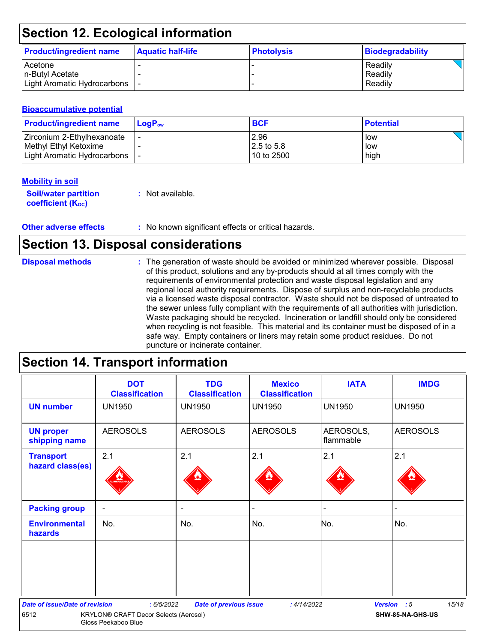# **Section 12. Ecological information**

| <b>Product/ingredient name</b> | <b>Aquatic half-life</b> | <b>Photolysis</b> | Biodegradability |
|--------------------------------|--------------------------|-------------------|------------------|
| <b>Acetone</b>                 |                          |                   | Readily          |
| In-Butvl Acetate               |                          |                   | Readily          |
| Light Aromatic Hydrocarbons    |                          |                   | Readily          |

#### **Bioaccumulative potential**

| <b>Product/ingredient name</b> | $\mathsf{LogP}_\mathsf{ow}$ | <b>BCF</b>   | <b>Potential</b> |
|--------------------------------|-----------------------------|--------------|------------------|
| I Zirconium 2-Ethylhexanoate   |                             | 2.96         | low              |
| Methyl Ethyl Ketoxime          |                             | $2.5$ to 5.8 | low              |
| Light Aromatic Hydrocarbons    |                             | 10 to 2500   | high             |

#### **Mobility in soil**

| <b>Soil/water partition</b> | : Not available. |
|-----------------------------|------------------|
| <b>coefficient (Koc)</b>    |                  |

**Other adverse effects** : No known significant effects or critical hazards.

## **Section 13. Disposal considerations**

| <b>Disposal methods</b> | : The generation of waste should be avoided or minimized wherever possible. Disposal<br>of this product, solutions and any by-products should at all times comply with the<br>requirements of environmental protection and waste disposal legislation and any<br>regional local authority requirements. Dispose of surplus and non-recyclable products<br>via a licensed waste disposal contractor. Waste should not be disposed of untreated to<br>the sewer unless fully compliant with the requirements of all authorities with jurisdiction.<br>Waste packaging should be recycled. Incineration or landfill should only be considered<br>when recycling is not feasible. This material and its container must be disposed of in a<br>safe way. Empty containers or liners may retain some product residues. Do not<br>puncture or incinerate container. |
|-------------------------|--------------------------------------------------------------------------------------------------------------------------------------------------------------------------------------------------------------------------------------------------------------------------------------------------------------------------------------------------------------------------------------------------------------------------------------------------------------------------------------------------------------------------------------------------------------------------------------------------------------------------------------------------------------------------------------------------------------------------------------------------------------------------------------------------------------------------------------------------------------|
|-------------------------|--------------------------------------------------------------------------------------------------------------------------------------------------------------------------------------------------------------------------------------------------------------------------------------------------------------------------------------------------------------------------------------------------------------------------------------------------------------------------------------------------------------------------------------------------------------------------------------------------------------------------------------------------------------------------------------------------------------------------------------------------------------------------------------------------------------------------------------------------------------|

## **Section 14. Transport information**

|                                       | <b>DOT</b><br><b>Classification</b>                          | <b>TDG</b><br><b>Classification</b> | <b>Mexico</b><br><b>Classification</b> | <b>IATA</b>            | <b>IMDG</b>          |
|---------------------------------------|--------------------------------------------------------------|-------------------------------------|----------------------------------------|------------------------|----------------------|
| <b>UN number</b>                      | <b>UN1950</b>                                                | <b>UN1950</b>                       | <b>UN1950</b>                          | <b>UN1950</b>          | <b>UN1950</b>        |
| <b>UN proper</b><br>shipping name     | <b>AEROSOLS</b>                                              | <b>AEROSOLS</b>                     | <b>AEROSOLS</b>                        | AEROSOLS,<br>flammable | <b>AEROSOLS</b>      |
| <b>Transport</b><br>hazard class(es)  | 2.1                                                          | 2.1                                 | 2.1                                    | 2.1                    | 2.1                  |
| <b>Packing group</b>                  | $\overline{\phantom{a}}$                                     | ٠                                   |                                        | -                      |                      |
| <b>Environmental</b><br>hazards       | No.                                                          | No.                                 | No.                                    | No.                    | No.                  |
|                                       |                                                              |                                     |                                        |                        |                      |
| <b>Date of issue/Date of revision</b> | : 6/5/2022                                                   | <b>Date of previous issue</b>       | : 4/14/2022                            |                        | 15/18<br>Version : 5 |
| 6512                                  | KRYLON® CRAFT Decor Selects (Aerosol)<br>Gloss Peekaboo Blue |                                     |                                        |                        | SHW-85-NA-GHS-US     |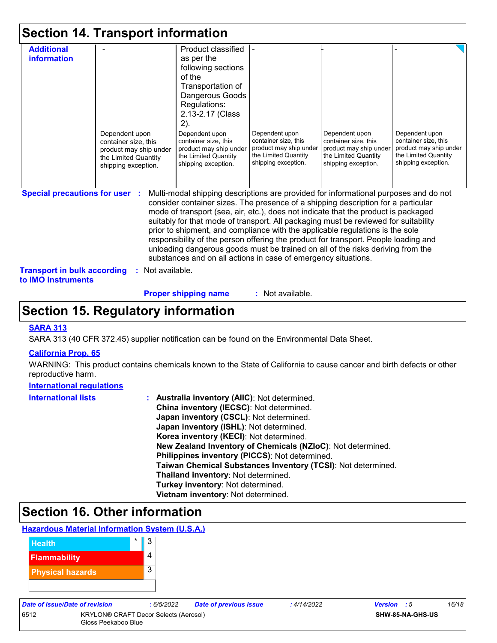|                                                                                                          | <b>Section 14. Transport information</b>                                                                        |                                                                                                                                                                                                                                                                                                                                                                                                                                                                                                                                                                                                                                                                                     |                                                                                                                 |                                                                                                                 |                                                                                                                 |
|----------------------------------------------------------------------------------------------------------|-----------------------------------------------------------------------------------------------------------------|-------------------------------------------------------------------------------------------------------------------------------------------------------------------------------------------------------------------------------------------------------------------------------------------------------------------------------------------------------------------------------------------------------------------------------------------------------------------------------------------------------------------------------------------------------------------------------------------------------------------------------------------------------------------------------------|-----------------------------------------------------------------------------------------------------------------|-----------------------------------------------------------------------------------------------------------------|-----------------------------------------------------------------------------------------------------------------|
| <b>Additional</b><br>information                                                                         | Dependent upon<br>container size, this<br>product may ship under<br>the Limited Quantity<br>shipping exception. | Product classified<br>as per the<br>following sections<br>of the<br>Transportation of<br>Dangerous Goods<br>Regulations:<br>2.13-2.17 (Class<br>2).<br>Dependent upon<br>container size, this<br>product may ship under<br>the Limited Quantity<br>shipping exception.                                                                                                                                                                                                                                                                                                                                                                                                              | Dependent upon<br>container size, this<br>product may ship under<br>the Limited Quantity<br>shipping exception. | Dependent upon<br>container size, this<br>product may ship under<br>the Limited Quantity<br>shipping exception. | Dependent upon<br>container size, this<br>product may ship under<br>the Limited Quantity<br>shipping exception. |
| <b>Special precautions for user :</b><br><b>Transport in bulk according</b><br>to <b>IMO</b> instruments | Not available.                                                                                                  | Multi-modal shipping descriptions are provided for informational purposes and do not<br>consider container sizes. The presence of a shipping description for a particular<br>mode of transport (sea, air, etc.), does not indicate that the product is packaged<br>suitably for that mode of transport. All packaging must be reviewed for suitability<br>prior to shipment, and compliance with the applicable regulations is the sole<br>responsibility of the person offering the product for transport. People loading and<br>unloading dangerous goods must be trained on all of the risks deriving from the<br>substances and on all actions in case of emergency situations. |                                                                                                                 |                                                                                                                 |                                                                                                                 |

**Proper shipping name :**

: Not available.

### **Section 15. Regulatory information**

#### **SARA 313**

SARA 313 (40 CFR 372.45) supplier notification can be found on the Environmental Data Sheet.

#### **California Prop. 65**

WARNING: This product contains chemicals known to the State of California to cause cancer and birth defects or other reproductive harm.

#### **International regulations**

| <b>International lists</b> | : Australia inventory (AIIC): Not determined.                |
|----------------------------|--------------------------------------------------------------|
|                            | China inventory (IECSC): Not determined.                     |
|                            | Japan inventory (CSCL): Not determined.                      |
|                            | Japan inventory (ISHL): Not determined.                      |
|                            | Korea inventory (KECI): Not determined.                      |
|                            | New Zealand Inventory of Chemicals (NZIoC): Not determined.  |
|                            | Philippines inventory (PICCS): Not determined.               |
|                            | Taiwan Chemical Substances Inventory (TCSI): Not determined. |
|                            | Thailand inventory: Not determined.                          |
|                            | Turkey inventory: Not determined.                            |
|                            | Vietnam inventory: Not determined.                           |

### **Section 16. Other information**

#### **Hazardous Material Information System (U.S.A.)**



6512 KRYLON® CRAFT Decor Selects (Aerosol) Gloss Peekaboo Blue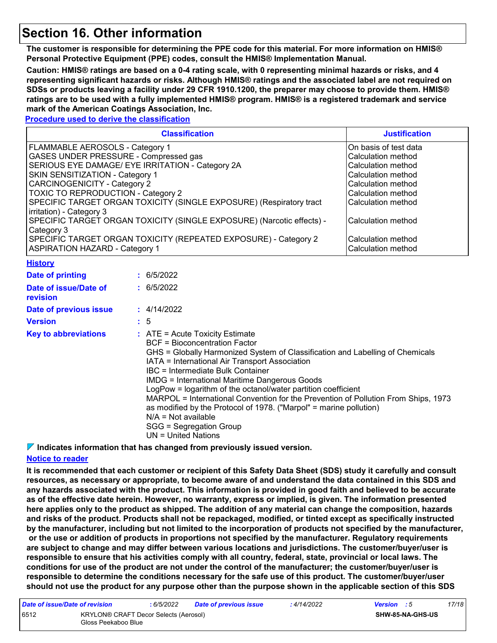### **Section 16. Other information**

**The customer is responsible for determining the PPE code for this material. For more information on HMIS® Personal Protective Equipment (PPE) codes, consult the HMIS® Implementation Manual.**

**Caution: HMIS® ratings are based on a 0-4 rating scale, with 0 representing minimal hazards or risks, and 4 representing significant hazards or risks. Although HMIS® ratings and the associated label are not required on SDSs or products leaving a facility under 29 CFR 1910.1200, the preparer may choose to provide them. HMIS® ratings are to be used with a fully implemented HMIS® program. HMIS® is a registered trademark and service mark of the American Coatings Association, Inc.**

#### **Procedure used to derive the classification**

|                                                                                                                                                                                                                                                                                                                                                                                                                                                                                                                                                                            | <b>Justification</b>  |             |  |  |  |  |
|----------------------------------------------------------------------------------------------------------------------------------------------------------------------------------------------------------------------------------------------------------------------------------------------------------------------------------------------------------------------------------------------------------------------------------------------------------------------------------------------------------------------------------------------------------------------------|-----------------------|-------------|--|--|--|--|
| FLAMMABLE AEROSOLS - Category 1                                                                                                                                                                                                                                                                                                                                                                                                                                                                                                                                            | On basis of test data |             |  |  |  |  |
| GASES UNDER PRESSURE - Compressed gas                                                                                                                                                                                                                                                                                                                                                                                                                                                                                                                                      | Calculation method    |             |  |  |  |  |
| SERIOUS EYE DAMAGE/ EYE IRRITATION - Category 2A                                                                                                                                                                                                                                                                                                                                                                                                                                                                                                                           | Calculation method    |             |  |  |  |  |
| SKIN SENSITIZATION - Category 1                                                                                                                                                                                                                                                                                                                                                                                                                                                                                                                                            | Calculation method    |             |  |  |  |  |
| <b>CARCINOGENICITY - Category 2</b>                                                                                                                                                                                                                                                                                                                                                                                                                                                                                                                                        | Calculation method    |             |  |  |  |  |
| TOXIC TO REPRODUCTION - Category 2                                                                                                                                                                                                                                                                                                                                                                                                                                                                                                                                         | Calculation method    |             |  |  |  |  |
| SPECIFIC TARGET ORGAN TOXICITY (SINGLE EXPOSURE) (Respiratory tract                                                                                                                                                                                                                                                                                                                                                                                                                                                                                                        | Calculation method    |             |  |  |  |  |
| irritation) - Category 3                                                                                                                                                                                                                                                                                                                                                                                                                                                                                                                                                   |                       |             |  |  |  |  |
| SPECIFIC TARGET ORGAN TOXICITY (SINGLE EXPOSURE) (Narcotic effects) -                                                                                                                                                                                                                                                                                                                                                                                                                                                                                                      | Calculation method    |             |  |  |  |  |
| Category 3                                                                                                                                                                                                                                                                                                                                                                                                                                                                                                                                                                 |                       |             |  |  |  |  |
| SPECIFIC TARGET ORGAN TOXICITY (REPEATED EXPOSURE) - Category 2                                                                                                                                                                                                                                                                                                                                                                                                                                                                                                            | Calculation method    |             |  |  |  |  |
| <b>ASPIRATION HAZARD - Category 1</b>                                                                                                                                                                                                                                                                                                                                                                                                                                                                                                                                      | Calculation method    |             |  |  |  |  |
| <b>History</b>                                                                                                                                                                                                                                                                                                                                                                                                                                                                                                                                                             |                       |             |  |  |  |  |
| <b>Date of printing</b>                                                                                                                                                                                                                                                                                                                                                                                                                                                                                                                                                    |                       | : 6/5/2022  |  |  |  |  |
| Date of issue/Date of<br>revision                                                                                                                                                                                                                                                                                                                                                                                                                                                                                                                                          |                       | : 6/5/2022  |  |  |  |  |
| Date of previous issue                                                                                                                                                                                                                                                                                                                                                                                                                                                                                                                                                     |                       | : 4/14/2022 |  |  |  |  |
| <b>Version</b>                                                                                                                                                                                                                                                                                                                                                                                                                                                                                                                                                             |                       | : 5         |  |  |  |  |
| <b>Key to abbreviations</b><br>: ATE = Acute Toxicity Estimate<br><b>BCF</b> = Bioconcentration Factor<br>GHS = Globally Harmonized System of Classification and Labelling of Chemicals<br>IATA = International Air Transport Association<br><b>IBC</b> = Intermediate Bulk Container<br><b>IMDG = International Maritime Dangerous Goods</b><br>LogPow = logarithm of the octanol/water partition coefficient<br>MARPOL = International Convention for the Prevention of Pollution From Ships, 1973<br>as modified by the Protocol of 1978. ("Marpol" = marine pollution) |                       |             |  |  |  |  |

N/A = Not available

SGG = Segregation Group

UN = United Nations

**Indicates information that has changed from previously issued version.**

#### **Notice to reader**

**It is recommended that each customer or recipient of this Safety Data Sheet (SDS) study it carefully and consult resources, as necessary or appropriate, to become aware of and understand the data contained in this SDS and any hazards associated with the product. This information is provided in good faith and believed to be accurate as of the effective date herein. However, no warranty, express or implied, is given. The information presented here applies only to the product as shipped. The addition of any material can change the composition, hazards and risks of the product. Products shall not be repackaged, modified, or tinted except as specifically instructed by the manufacturer, including but not limited to the incorporation of products not specified by the manufacturer, or the use or addition of products in proportions not specified by the manufacturer. Regulatory requirements are subject to change and may differ between various locations and jurisdictions. The customer/buyer/user is responsible to ensure that his activities comply with all country, federal, state, provincial or local laws. The conditions for use of the product are not under the control of the manufacturer; the customer/buyer/user is responsible to determine the conditions necessary for the safe use of this product. The customer/buyer/user should not use the product for any purpose other than the purpose shown in the applicable section of this SDS** 

| Date of issue/Date of revision |                                                              | : 6/5/2022 | <b>Date of previous issue</b> | : 4/14/2022 | <b>Version</b> : 5 |                         | 17/18 |
|--------------------------------|--------------------------------------------------------------|------------|-------------------------------|-------------|--------------------|-------------------------|-------|
| 6512                           | KRYLON® CRAFT Decor Selects (Aerosol)<br>Gloss Peekaboo Blue |            |                               |             |                    | <b>SHW-85-NA-GHS-US</b> |       |